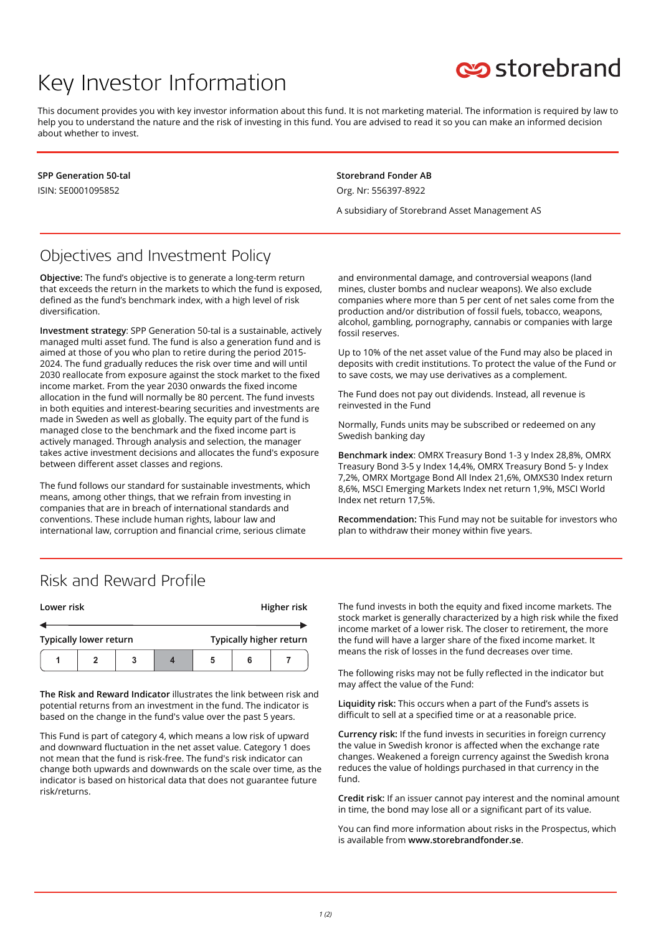# Key Investor Information



This document provides you with key investor information about this fund. It is not marketing material. The information is required by law to help you to understand the nature and the risk of investing in this fund. You are advised to read it so you can make an informed decision about whether to invest.

**SPP Generation 50-tal** ISIN: SE0001095852

**Storebrand Fonder AB** Org. Nr: 556397-8922

A subsidiary of Storebrand Asset Management AS

### Objectives and Investment Policy

**Objective:** The fund's objective is to generate a long-term return that exceeds the return in the markets to which the fund is exposed, defined as the fund's benchmark index, with a high level of risk diversification.

**Investment strategy**: SPP Generation 50-tal is a sustainable, actively managed multi asset fund. The fund is also a generation fund and is aimed at those of you who plan to retire during the period 2015- 2024. The fund gradually reduces the risk over time and will until 2030 reallocate from exposure against the stock market to the fixed income market. From the year 2030 onwards the fixed income allocation in the fund will normally be 80 percent. The fund invests in both equities and interest-bearing securities and investments are made in Sweden as well as globally. The equity part of the fund is managed close to the benchmark and the fixed income part is actively managed. Through analysis and selection, the manager takes active investment decisions and allocates the fund's exposure between different asset classes and regions.

The fund follows our standard for sustainable investments, which means, among other things, that we refrain from investing in companies that are in breach of international standards and conventions. These include human rights, labour law and international law, corruption and financial crime, serious climate

and environmental damage, and controversial weapons (land mines, cluster bombs and nuclear weapons). We also exclude companies where more than 5 per cent of net sales come from the production and/or distribution of fossil fuels, tobacco, weapons, alcohol, gambling, pornography, cannabis or companies with large fossil reserves.

Up to 10% of the net asset value of the Fund may also be placed in deposits with credit institutions. To protect the value of the Fund or to save costs, we may use derivatives as a complement.

The Fund does not pay out dividends. Instead, all revenue is reinvested in the Fund

Normally, Funds units may be subscribed or redeemed on any Swedish banking day

**Benchmark index**: OMRX Treasury Bond 1-3 y Index 28,8%, OMRX Treasury Bond 3-5 y Index 14,4%, OMRX Treasury Bond 5- y Index 7,2%, OMRX Mortgage Bond All Index 21,6%, OMXS30 Index return 8,6%, MSCI Emerging Markets Index net return 1,9%, MSCI World Index net return 17,5%.

**Recommendation:** This Fund may not be suitable for investors who plan to withdraw their money within five years.

#### Risk and Reward Profile

| Lower risk                    |  |  |  |                         |  | Higher risk |
|-------------------------------|--|--|--|-------------------------|--|-------------|
|                               |  |  |  |                         |  |             |
| <b>Typically lower return</b> |  |  |  | Typically higher return |  |             |
|                               |  |  |  | 5                       |  |             |

**The Risk and Reward Indicator** illustrates the link between risk and potential returns from an investment in the fund. The indicator is based on the change in the fund's value over the past 5 years.

This Fund is part of category 4, which means a low risk of upward and downward fluctuation in the net asset value. Category 1 does not mean that the fund is risk-free. The fund's risk indicator can change both upwards and downwards on the scale over time, as the indicator is based on historical data that does not guarantee future risk/returns.

The fund invests in both the equity and fixed income markets. The stock market is generally characterized by a high risk while the fixed income market of a lower risk. The closer to retirement, the more the fund will have a larger share of the fixed income market. It means the risk of losses in the fund decreases over time.

The following risks may not be fully reflected in the indicator but may affect the value of the Fund:

**Liquidity risk:** This occurs when a part of the Fund's assets is difficult to sell at a specified time or at a reasonable price.

**Currency risk:** If the fund invests in securities in foreign currency the value in Swedish kronor is affected when the exchange rate changes. Weakened a foreign currency against the Swedish krona reduces the value of holdings purchased in that currency in the fund.

**Credit risk:** If an issuer cannot pay interest and the nominal amount in time, the bond may lose all or a significant part of its value.

You can find more information about risks in the Prospectus, which is available from **www.storebrandfonder.se**.